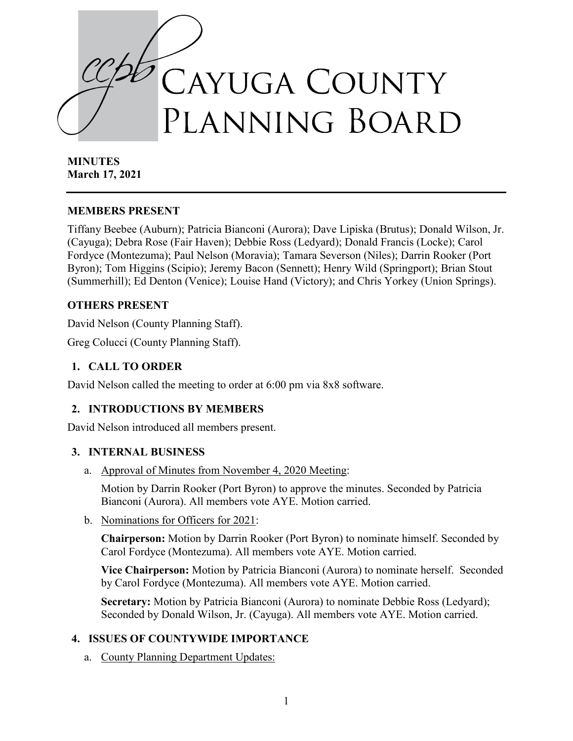

**MINUTES March 17, 2021**

#### **MEMBERS PRESENT**

Tiffany Beebee (Auburn); Patricia Bianconi (Aurora); Dave Lipiska (Brutus); Donald Wilson, Jr. (Cayuga); Debra Rose (Fair Haven); Debbie Ross (Ledyard); Donald Francis (Locke); Carol Fordyce (Montezuma); Paul Nelson (Moravia); Tamara Severson (Niles); Darrin Rooker (Port Byron); Tom Higgins (Scipio); Jeremy Bacon (Sennett); Henry Wild (Springport); Brian Stout (Summerhill); Ed Denton (Venice); Louise Hand (Victory); and Chris Yorkey (Union Springs).

#### **OTHERS PRESENT**

David Nelson (County Planning Staff).

Greg Colucci (County Planning Staff).

### **1. CALL TO ORDER**

David Nelson called the meeting to order at 6:00 pm via 8x8 software.

### **2. INTRODUCTIONS BY MEMBERS**

David Nelson introduced all members present.

### **3. INTERNAL BUSINESS**

a. Approval of Minutes from November 4, 2020 Meeting:

Motion by Darrin Rooker (Port Byron) to approve the minutes. Seconded by Patricia Bianconi (Aurora). All members vote AYE. Motion carried.

b. Nominations for Officers for 2021:

**Chairperson:** Motion by Darrin Rooker (Port Byron) to nominate himself. Seconded by Carol Fordyce (Montezuma). All members vote AYE. Motion carried.

**Vice Chairperson:** Motion by Patricia Bianconi (Aurora) to nominate herself. Seconded by Carol Fordyce (Montezuma). All members vote AYE. Motion carried.

**Secretary:** Motion by Patricia Bianconi (Aurora) to nominate Debbie Ross (Ledyard); Seconded by Donald Wilson, Jr. (Cayuga). All members vote AYE. Motion carried.

### **4. ISSUES OF COUNTYWIDE IMPORTANCE**

a. County Planning Department Updates: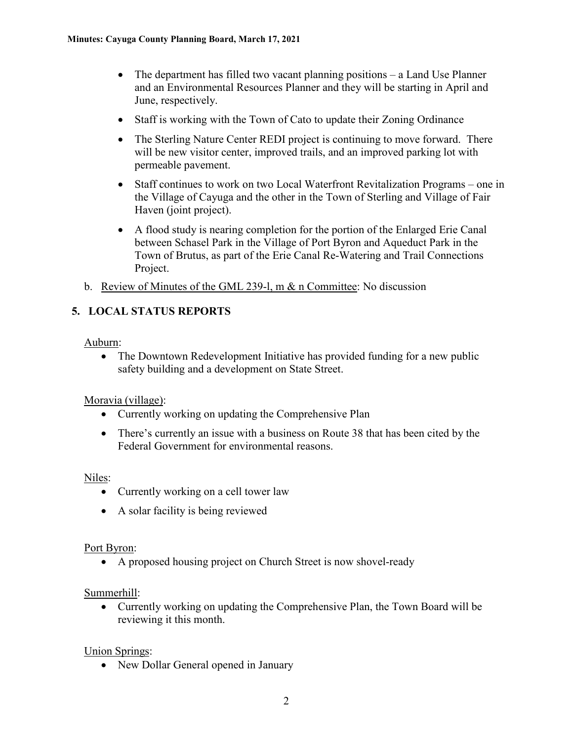- The department has filled two vacant planning positions a Land Use Planner and an Environmental Resources Planner and they will be starting in April and June, respectively.
- Staff is working with the Town of Cato to update their Zoning Ordinance
- The Sterling Nature Center REDI project is continuing to move forward. There will be new visitor center, improved trails, and an improved parking lot with permeable pavement.
- Staff continues to work on two Local Waterfront Revitalization Programs one in the Village of Cayuga and the other in the Town of Sterling and Village of Fair Haven (joint project).
- A flood study is nearing completion for the portion of the Enlarged Erie Canal between Schasel Park in the Village of Port Byron and Aqueduct Park in the Town of Brutus, as part of the Erie Canal Re-Watering and Trail Connections Project.
- b. Review of Minutes of the GML 239-1, m & n Committee: No discussion

# **5. LOCAL STATUS REPORTS**

Auburn:

• The Downtown Redevelopment Initiative has provided funding for a new public safety building and a development on State Street.

Moravia (village):

- Currently working on updating the Comprehensive Plan
- There's currently an issue with a business on Route 38 that has been cited by the Federal Government for environmental reasons.

Niles:

- Currently working on a cell tower law
- A solar facility is being reviewed

#### Port Byron:

• A proposed housing project on Church Street is now shovel-ready

Summerhill:

• Currently working on updating the Comprehensive Plan, the Town Board will be reviewing it this month.

Union Springs:

• New Dollar General opened in January